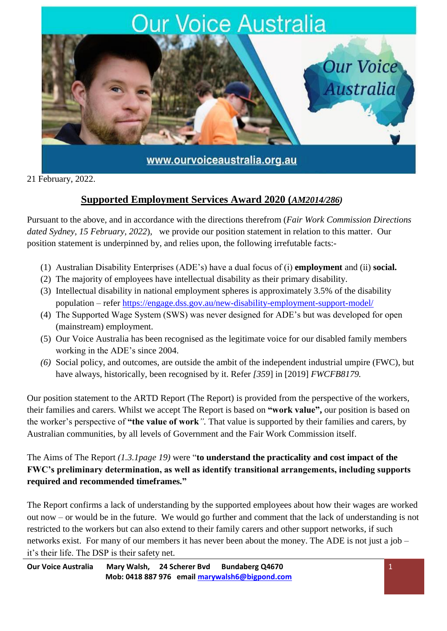

21 February, 2022.

# **Supported Employment Services Award 2020 (***AM2014/286)*

Pursuant to the above, and in accordance with the directions therefrom (*Fair Work Commission Directions dated Sydney, 15 February, 2022*), we provide our position statement in relation to this matter. Our position statement is underpinned by, and relies upon, the following irrefutable facts:-

- (1) Australian Disability Enterprises (ADE's) have a dual focus of (i) **employment** and (ii) **social.**
- (2) The majority of employees have intellectual disability as their primary disability.
- (3) Intellectual disability in national employment spheres is approximately 3.5% of the disability population – refer<https://engage.dss.gov.au/new-disability-employment-support-model/>
- (4) The Supported Wage System (SWS) was never designed for ADE's but was developed for open (mainstream) employment.
- (5) Our Voice Australia has been recognised as the legitimate voice for our disabled family members working in the ADE's since 2004.
- *(6)* Social policy, and outcomes, are outside the ambit of the independent industrial umpire (FWC), but have always, historically, been recognised by it. Refer *[359*] in [2019] *FWCFB8179.*

Our position statement to the ARTD Report (The Report) is provided from the perspective of the workers, their families and carers. Whilst we accept The Report is based on **"work value",** our position is based on the worker's perspective of **"the value of work***".* That value is supported by their families and carers, by Australian communities, by all levels of Government and the Fair Work Commission itself.

The Aims of The Report *(1.3.1page 19)* were "**to understand the practicality and cost impact of the FWC's preliminary determination, as well as identify transitional arrangements, including supports required and recommended timeframes."**

The Report confirms a lack of understanding by the supported employees about how their wages are worked out now – or would be in the future. We would go further and comment that the lack of understanding is not restricted to the workers but can also extend to their family carers and other support networks, if such networks exist. For many of our members it has never been about the money. The ADE is not just a job – it's their life. The DSP is their safety net.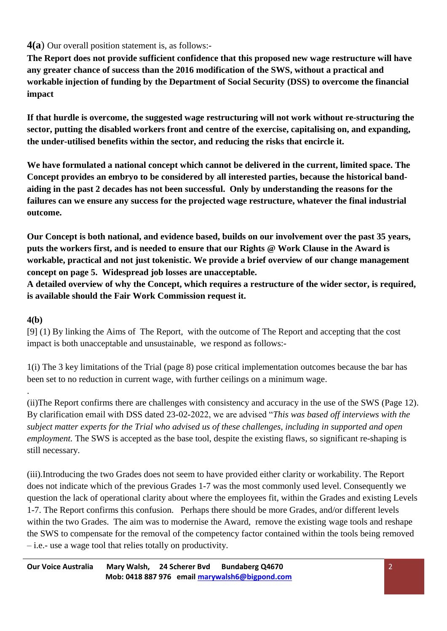## **4(a**) Our overall position statement is, as follows:-

**The Report does not provide sufficient confidence that this proposed new wage restructure will have any greater chance of success than the 2016 modification of the SWS, without a practical and workable injection of funding by the Department of Social Security (DSS) to overcome the financial impact** 

**If that hurdle is overcome, the suggested wage restructuring will not work without re-structuring the sector, putting the disabled workers front and centre of the exercise, capitalising on, and expanding, the under-utilised benefits within the sector, and reducing the risks that encircle it.** 

**We have formulated a national concept which cannot be delivered in the current, limited space. The Concept provides an embryo to be considered by all interested parties, because the historical bandaiding in the past 2 decades has not been successful. Only by understanding the reasons for the failures can we ensure any success for the projected wage restructure, whatever the final industrial outcome.** 

**Our Concept is both national, and evidence based, builds on our involvement over the past 35 years, puts the workers first, and is needed to ensure that our Rights @ Work Clause in the Award is workable, practical and not just tokenistic. We provide a brief overview of our change management concept on page 5. Widespread job losses are unacceptable.** 

**A detailed overview of why the Concept, which requires a restructure of the wider sector, is required, is available should the Fair Work Commission request it.** 

## **4(b)**

.

[9] (1) By linking the Aims of The Report, with the outcome of The Report and accepting that the cost impact is both unacceptable and unsustainable, we respond as follows:-

1(i) The 3 key limitations of the Trial (page 8) pose critical implementation outcomes because the bar has been set to no reduction in current wage, with further ceilings on a minimum wage.

(ii)The Report confirms there are challenges with consistency and accuracy in the use of the SWS (Page 12). By clarification email with DSS dated 23-02-2022, we are advised "*This was based off interviews with the subject matter experts for the Trial who advised us of these challenges, including in supported and open employment.* The SWS is accepted as the base tool, despite the existing flaws, so significant re-shaping is still necessary.

(iii)*.*Introducing the two Grades does not seem to have provided either clarity or workability. The Report does not indicate which of the previous Grades 1-7 was the most commonly used level. Consequently we question the lack of operational clarity about where the employees fit, within the Grades and existing Levels 1-7. The Report confirms this confusion. Perhaps there should be more Grades, and/or different levels within the two Grades. The aim was to modernise the Award, remove the existing wage tools and reshape the SWS to compensate for the removal of the competency factor contained within the tools being removed – i.e.- use a wage tool that relies totally on productivity.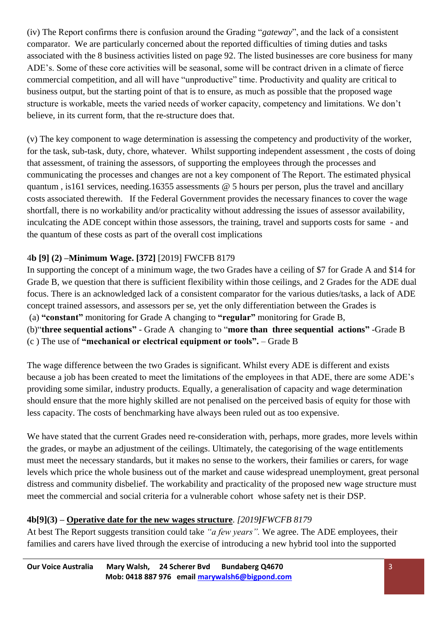(iv) The Report confirms there is confusion around the Grading "*gateway*", and the lack of a consistent comparator. We are particularly concerned about the reported difficulties of timing duties and tasks associated with the 8 business activities listed on page 92. The listed businesses are core business for many ADE's. Some of these core activities will be seasonal, some will be contract driven in a climate of fierce commercial competition, and all will have "unproductive" time. Productivity and quality are critical to business output, but the starting point of that is to ensure, as much as possible that the proposed wage structure is workable, meets the varied needs of worker capacity, competency and limitations. We don't believe, in its current form, that the re-structure does that.

(v) The key component to wage determination is assessing the competency and productivity of the worker, for the task, sub-task, duty, chore, whatever. Whilst supporting independent assessment , the costs of doing that assessment, of training the assessors, of supporting the employees through the processes and communicating the processes and changes are not a key component of The Report. The estimated physical quantum , is161 services, needing.16355 assessments  $\omega$  5 hours per person, plus the travel and ancillary costs associated therewith. If the Federal Government provides the necessary finances to cover the wage shortfall, there is no workability and/or practicality without addressing the issues of assessor availability, inculcating the ADE concept within those assessors, the training, travel and supports costs for same - and the quantum of these costs as part of the overall cost implications

## 4**b [9] (2) –Minimum Wage. [372]** [2019] FWCFB 8179

In supporting the concept of a minimum wage, the two Grades have a ceiling of \$7 for Grade A and \$14 for Grade B, we question that there is sufficient flexibility within those ceilings, and 2 Grades for the ADE dual focus. There is an acknowledged lack of a consistent comparator for the various duties/tasks, a lack of ADE concept trained assessors, and assessors per se, yet the only differentiation between the Grades is (a) **"constant"** monitoring for Grade A changing to **"regular"** monitoring for Grade B, (b)"**three sequential actions"** - Grade A changing to "**more than three sequential actions"** -Grade B (c ) The use of **"mechanical or electrical equipment or tools".** – Grade B

The wage difference between the two Grades is significant. Whilst every ADE is different and exists because a job has been created to meet the limitations of the employees in that ADE, there are some ADE's providing some similar, industry products. Equally, a generalisation of capacity and wage determination should ensure that the more highly skilled are not penalised on the perceived basis of equity for those with less capacity. The costs of benchmarking have always been ruled out as too expensive.

We have stated that the current Grades need re-consideration with, perhaps, more grades, more levels within the grades, or maybe an adjustment of the ceilings. Ultimately, the categorising of the wage entitlements must meet the necessary standards, but it makes no sense to the workers, their families or carers, for wage levels which price the whole business out of the market and cause widespread unemployment, great personal distress and community disbelief. The workability and practicality of the proposed new wage structure must meet the commercial and social criteria for a vulnerable cohort whose safety net is their DSP.

#### **4b[9](3) – Operative date for the new wages structure**. *[2019]FWCFB 8179*

At best The Report suggests transition could take *"a few years".* We agree. The ADE employees, their families and carers have lived through the exercise of introducing a new hybrid tool into the supported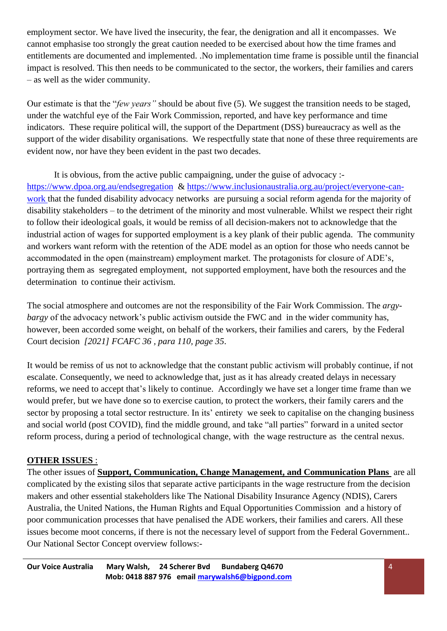employment sector. We have lived the insecurity, the fear, the denigration and all it encompasses. We cannot emphasise too strongly the great caution needed to be exercised about how the time frames and entitlements are documented and implemented. .No implementation time frame is possible until the financial impact is resolved. This then needs to be communicated to the sector, the workers, their families and carers – as well as the wider community.

Our estimate is that the "*few years"* should be about five (5). We suggest the transition needs to be staged, under the watchful eye of the Fair Work Commission, reported, and have key performance and time indicators. These require political will, the support of the Department (DSS) bureaucracy as well as the support of the wider disability organisations. We respectfully state that none of these three requirements are evident now, nor have they been evident in the past two decades.

It is obvious, from the active public campaigning, under the guise of advocacy : <https://www.dpoa.org.au/endsegregation> & [https://www.inclusionaustralia.org.au/project/everyone-can](https://www.inclusionaustralia.org.au/project/everyone-can-work)[work](https://www.inclusionaustralia.org.au/project/everyone-can-work) that the funded disability advocacy networks are pursuing a social reform agenda for the majority of disability stakeholders – to the detriment of the minority and most vulnerable. Whilst we respect their right to follow their ideological goals, it would be remiss of all decision-makers not to acknowledge that the industrial action of wages for supported employment is a key plank of their public agenda. The community and workers want reform with the retention of the ADE model as an option for those who needs cannot be accommodated in the open (mainstream) employment market. The protagonists for closure of ADE's, portraying them as segregated employment, not supported employment, have both the resources and the determination to continue their activism.

The social atmosphere and outcomes are not the responsibility of the Fair Work Commission. The *argybargy* of the advocacy network's public activism outside the FWC and in the wider community has, however, been accorded some weight, on behalf of the workers, their families and carers, by the Federal Court decision *[2021] FCAFC 36 , para 110, page 35*.

It would be remiss of us not to acknowledge that the constant public activism will probably continue, if not escalate. Consequently, we need to acknowledge that, just as it has already created delays in necessary reforms, we need to accept that's likely to continue. Accordingly we have set a longer time frame than we would prefer, but we have done so to exercise caution, to protect the workers, their family carers and the sector by proposing a total sector restructure. In its' entirety we seek to capitalise on the changing business and social world (post COVID), find the middle ground, and take "all parties" forward in a united sector reform process, during a period of technological change, with the wage restructure as the central nexus.

#### **OTHER ISSUES** :

The other issues of **Support, Communication, Change Management, and Communication Plans** are all complicated by the existing silos that separate active participants in the wage restructure from the decision makers and other essential stakeholders like The National Disability Insurance Agency (NDIS), Carers Australia, the United Nations, the Human Rights and Equal Opportunities Commission and a history of poor communication processes that have penalised the ADE workers, their families and carers. All these issues become moot concerns, if there is not the necessary level of support from the Federal Government.. Our National Sector Concept overview follows:-